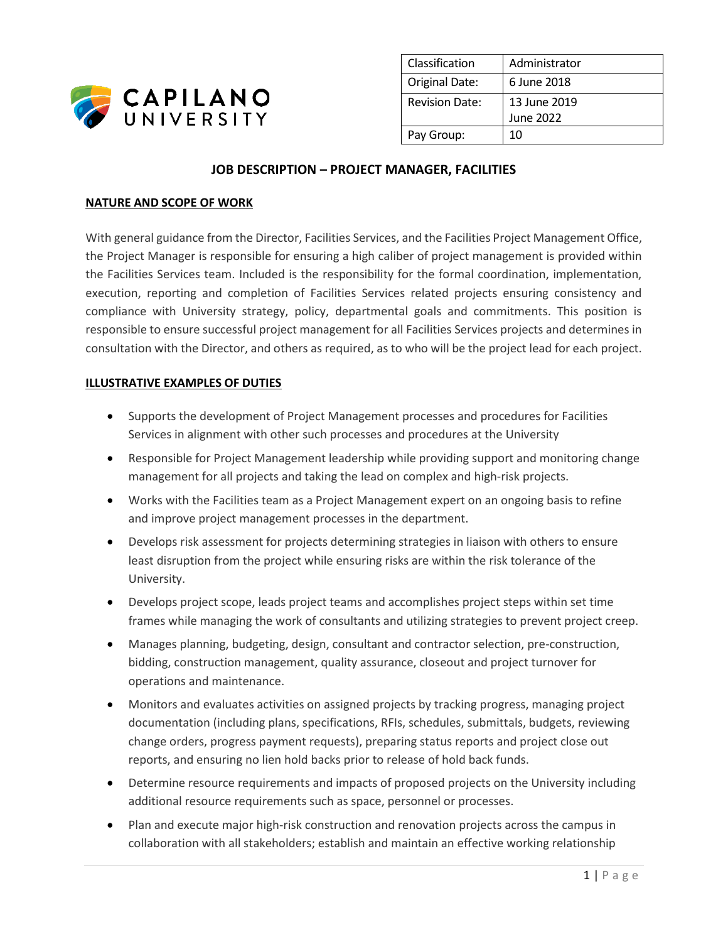

| Classification        | Administrator |
|-----------------------|---------------|
| Original Date:        | 6 June 2018   |
| <b>Revision Date:</b> | 13 June 2019  |
|                       | June 2022     |
| Pay Group:            | 10            |

# **JOB DESCRIPTION – PROJECT MANAGER, FACILITIES**

### **NATURE AND SCOPE OF WORK**

With general guidance from the Director, Facilities Services, and the Facilities Project Management Office, the Project Manager is responsible for ensuring a high caliber of project management is provided within the Facilities Services team. Included is the responsibility for the formal coordination, implementation, execution, reporting and completion of Facilities Services related projects ensuring consistency and compliance with University strategy, policy, departmental goals and commitments. This position is responsible to ensure successful project management for all Facilities Services projects and determines in consultation with the Director, and others as required, as to who will be the project lead for each project.

#### **ILLUSTRATIVE EXAMPLES OF DUTIES**

- Supports the development of Project Management processes and procedures for Facilities Services in alignment with other such processes and procedures at the University
- Responsible for Project Management leadership while providing support and monitoring change management for all projects and taking the lead on complex and high-risk projects.
- Works with the Facilities team as a Project Management expert on an ongoing basis to refine and improve project management processes in the department.
- Develops risk assessment for projects determining strategies in liaison with others to ensure least disruption from the project while ensuring risks are within the risk tolerance of the University.
- Develops project scope, leads project teams and accomplishes project steps within set time frames while managing the work of consultants and utilizing strategies to prevent project creep.
- Manages planning, budgeting, design, consultant and contractor selection, pre-construction, bidding, construction management, quality assurance, closeout and project turnover for operations and maintenance.
- Monitors and evaluates activities on assigned projects by tracking progress, managing project documentation (including plans, specifications, RFIs, schedules, submittals, budgets, reviewing change orders, progress payment requests), preparing status reports and project close out reports, and ensuring no lien hold backs prior to release of hold back funds.
- Determine resource requirements and impacts of proposed projects on the University including additional resource requirements such as space, personnel or processes.
- Plan and execute major high-risk construction and renovation projects across the campus in collaboration with all stakeholders; establish and maintain an effective working relationship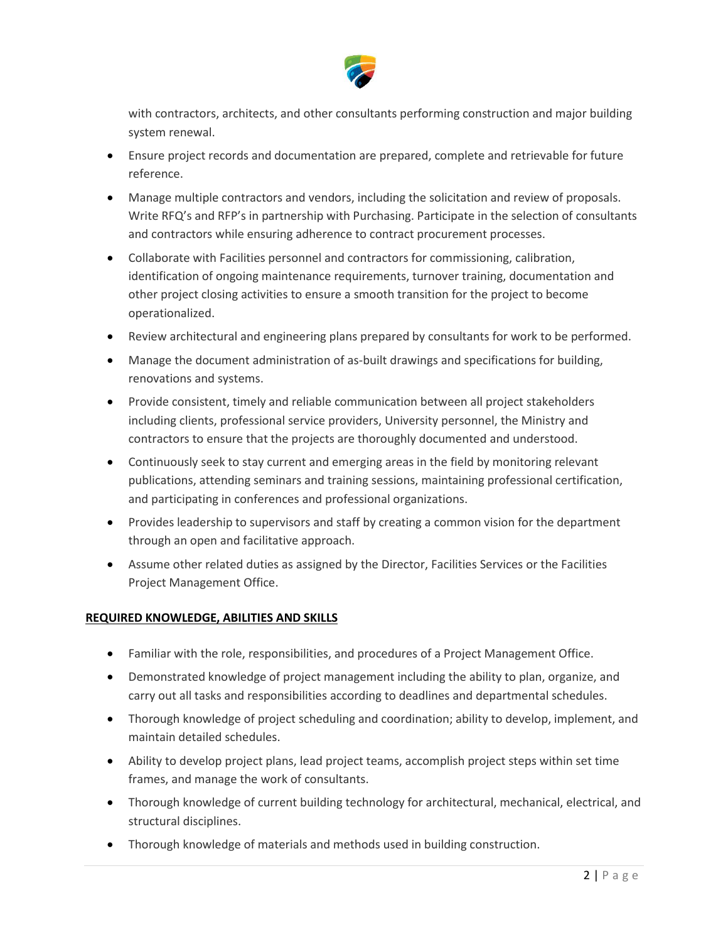

with contractors, architects, and other consultants performing construction and major building system renewal.

- Ensure project records and documentation are prepared, complete and retrievable for future reference.
- Manage multiple contractors and vendors, including the solicitation and review of proposals. Write RFQ's and RFP's in partnership with Purchasing. Participate in the selection of consultants and contractors while ensuring adherence to contract procurement processes.
- Collaborate with Facilities personnel and contractors for commissioning, calibration, identification of ongoing maintenance requirements, turnover training, documentation and other project closing activities to ensure a smooth transition for the project to become operationalized.
- Review architectural and engineering plans prepared by consultants for work to be performed.
- Manage the document administration of as-built drawings and specifications for building, renovations and systems.
- Provide consistent, timely and reliable communication between all project stakeholders including clients, professional service providers, University personnel, the Ministry and contractors to ensure that the projects are thoroughly documented and understood.
- Continuously seek to stay current and emerging areas in the field by monitoring relevant publications, attending seminars and training sessions, maintaining professional certification, and participating in conferences and professional organizations.
- Provides leadership to supervisors and staff by creating a common vision for the department through an open and facilitative approach.
- Assume other related duties as assigned by the Director, Facilities Services or the Facilities Project Management Office.

# **REQUIRED KNOWLEDGE, ABILITIES AND SKILLS**

- Familiar with the role, responsibilities, and procedures of a Project Management Office.
- Demonstrated knowledge of project management including the ability to plan, organize, and carry out all tasks and responsibilities according to deadlines and departmental schedules.
- Thorough knowledge of project scheduling and coordination; ability to develop, implement, and maintain detailed schedules.
- Ability to develop project plans, lead project teams, accomplish project steps within set time frames, and manage the work of consultants.
- Thorough knowledge of current building technology for architectural, mechanical, electrical, and structural disciplines.
- Thorough knowledge of materials and methods used in building construction.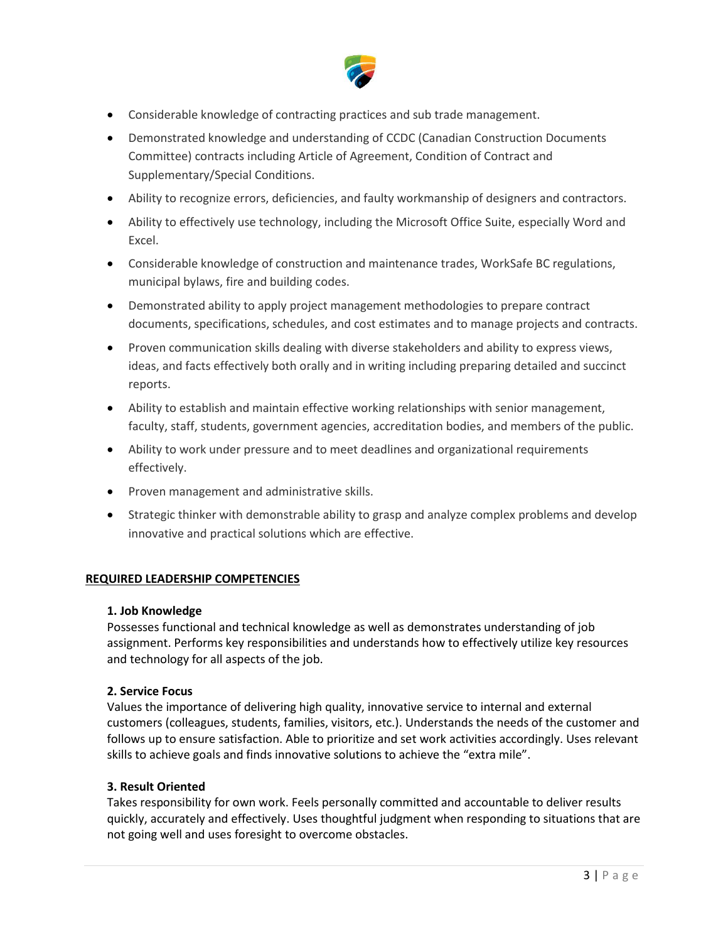

- Considerable knowledge of contracting practices and sub trade management.
- Demonstrated knowledge and understanding of CCDC (Canadian Construction Documents Committee) contracts including Article of Agreement, Condition of Contract and Supplementary/Special Conditions.
- Ability to recognize errors, deficiencies, and faulty workmanship of designers and contractors.
- Ability to effectively use technology, including the Microsoft Office Suite, especially Word and Excel.
- Considerable knowledge of construction and maintenance trades, WorkSafe BC regulations, municipal bylaws, fire and building codes.
- Demonstrated ability to apply project management methodologies to prepare contract documents, specifications, schedules, and cost estimates and to manage projects and contracts.
- Proven communication skills dealing with diverse stakeholders and ability to express views, ideas, and facts effectively both orally and in writing including preparing detailed and succinct reports.
- Ability to establish and maintain effective working relationships with senior management, faculty, staff, students, government agencies, accreditation bodies, and members of the public.
- Ability to work under pressure and to meet deadlines and organizational requirements effectively.
- Proven management and administrative skills.
- Strategic thinker with demonstrable ability to grasp and analyze complex problems and develop innovative and practical solutions which are effective.

## **REQUIRED LEADERSHIP COMPETENCIES**

#### **1. Job Knowledge**

Possesses functional and technical knowledge as well as demonstrates understanding of job assignment. Performs key responsibilities and understands how to effectively utilize key resources and technology for all aspects of the job.

#### **2. Service Focus**

Values the importance of delivering high quality, innovative service to internal and external customers (colleagues, students, families, visitors, etc.). Understands the needs of the customer and follows up to ensure satisfaction. Able to prioritize and set work activities accordingly. Uses relevant skills to achieve goals and finds innovative solutions to achieve the "extra mile".

## **3. Result Oriented**

Takes responsibility for own work. Feels personally committed and accountable to deliver results quickly, accurately and effectively. Uses thoughtful judgment when responding to situations that are not going well and uses foresight to overcome obstacles.